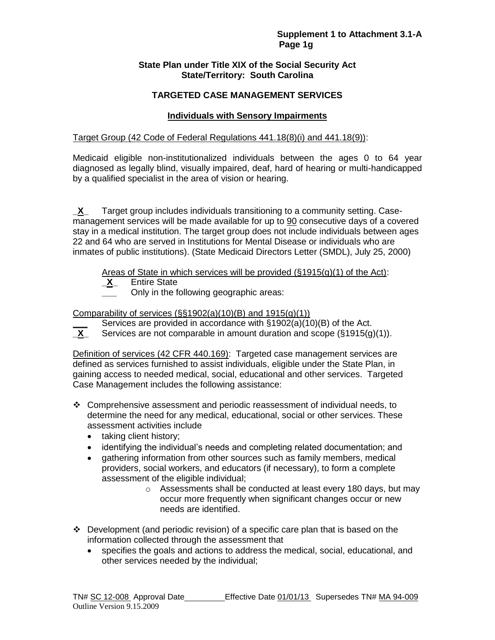# **State Plan under Title XIX of the Social Security Act State/Territory: South Carolina**

# **TARGETED CASE MANAGEMENT SERVICES**

# **Individuals with Sensory Impairments**

## Target Group (42 Code of Federal Regulations 441.18(8)(i) and 441.18(9)):

Medicaid eligible non-institutionalized individuals between the ages 0 to 64 year diagnosed as legally blind, visually impaired, deaf, hard of hearing or multi-handicapped by a qualified specialist in the area of vision or hearing.

**\_X\_** Target group includes individuals transitioning to a community setting. Casemanagement services will be made available for up to 90 consecutive days of a covered stay in a medical institution. The target group does not include individuals between ages 22 and 64 who are served in Institutions for Mental Disease or individuals who are inmates of public institutions). (State Medicaid Directors Letter (SMDL), July 25, 2000)

Areas of State in which services will be provided  $(\S 1915(q)(1)$  of the Act):

**\_X\_** Entire State

**\_\_\_** Only in the following geographic areas:

Comparability of services (§§1902(a)(10)(B) and 1915(g)(1))

Services are provided in accordance with §1902(a)(10)(B) of the Act.

**\_X\_** Services are not comparable in amount duration and scope (§1915(g)(1)).

Definition of services (42 CFR 440.169): Targeted case management services are defined as services furnished to assist individuals, eligible under the State Plan, in gaining access to needed medical, social, educational and other services. Targeted Case Management includes the following assistance:

- Comprehensive assessment and periodic reassessment of individual needs, to determine the need for any medical, educational, social or other services. These assessment activities include
	- taking client history;
	- identifying the individual's needs and completing related documentation; and
	- gathering information from other sources such as family members, medical providers, social workers, and educators (if necessary), to form a complete assessment of the eligible individual;
		- o Assessments shall be conducted at least every 180 days, but may occur more frequently when significant changes occur or new needs are identified.
- $\div$  Development (and periodic revision) of a specific care plan that is based on the information collected through the assessment that
	- specifies the goals and actions to address the medical, social, educational, and other services needed by the individual;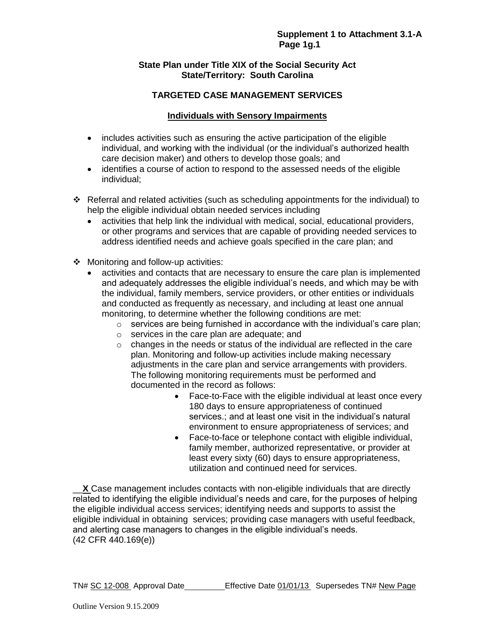## **State Plan under Title XIX of the Social Security Act State/Territory: South Carolina**

# **TARGETED CASE MANAGEMENT SERVICES**

## **Individuals with Sensory Impairments**

- includes activities such as ensuring the active participation of the eligible individual, and working with the individual (or the individual's authorized health care decision maker) and others to develop those goals; and
- identifies a course of action to respond to the assessed needs of the eligible individual;
- Referral and related activities (such as scheduling appointments for the individual) to help the eligible individual obtain needed services including
	- activities that help link the individual with medical, social, educational providers, or other programs and services that are capable of providing needed services to address identified needs and achieve goals specified in the care plan; and
- ❖ Monitoring and follow-up activities:
	- activities and contacts that are necessary to ensure the care plan is implemented and adequately addresses the eligible individual's needs, and which may be with the individual, family members, service providers, or other entities or individuals and conducted as frequently as necessary, and including at least one annual monitoring, to determine whether the following conditions are met:
		- $\circ$  services are being furnished in accordance with the individual's care plan;
		- o services in the care plan are adequate; and
		- o changes in the needs or status of the individual are reflected in the care plan. Monitoring and follow-up activities include making necessary adjustments in the care plan and service arrangements with providers. The following monitoring requirements must be performed and documented in the record as follows:
			- Face-to-Face with the eligible individual at least once every 180 days to ensure appropriateness of continued services.; and at least one visit in the individual's natural environment to ensure appropriateness of services; and
			- Face-to-face or telephone contact with eligible individual, family member, authorized representative, or provider at least every sixty (60) days to ensure appropriateness, utilization and continued need for services.

**X** Case management includes contacts with non-eligible individuals that are directly related to identifying the eligible individual's needs and care, for the purposes of helping the eligible individual access services; identifying needs and supports to assist the eligible individual in obtaining services; providing case managers with useful feedback, and alerting case managers to changes in the eligible individual's needs. (42 CFR 440.169(e))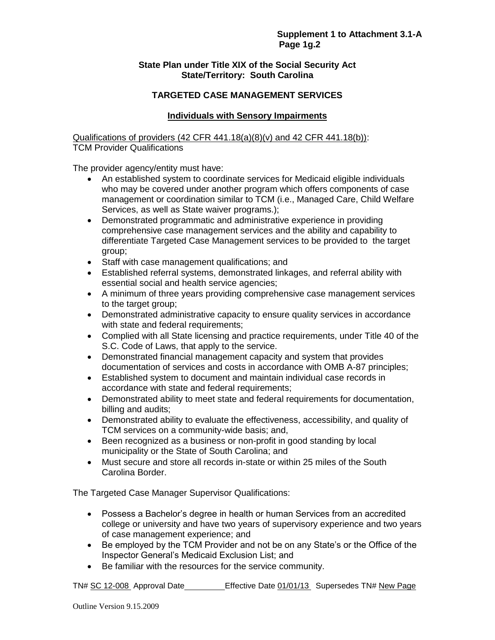### **State Plan under Title XIX of the Social Security Act State/Territory: South Carolina**

# **TARGETED CASE MANAGEMENT SERVICES**

# **Individuals with Sensory Impairments**

Qualifications of providers (42 CFR 441.18(a)(8)(v) and 42 CFR 441.18(b)): TCM Provider Qualifications

The provider agency/entity must have:

- An established system to coordinate services for Medicaid eligible individuals who may be covered under another program which offers components of case management or coordination similar to TCM (i.e., Managed Care, Child Welfare Services, as well as State waiver programs.);
- Demonstrated programmatic and administrative experience in providing comprehensive case management services and the ability and capability to differentiate Targeted Case Management services to be provided to the target group;
- Staff with case management qualifications; and
- Established referral systems, demonstrated linkages, and referral ability with essential social and health service agencies;
- A minimum of three years providing comprehensive case management services to the target group;
- Demonstrated administrative capacity to ensure quality services in accordance with state and federal requirements;
- Complied with all State licensing and practice requirements, under Title 40 of the S.C. Code of Laws, that apply to the service.
- Demonstrated financial management capacity and system that provides documentation of services and costs in accordance with OMB A-87 principles;
- Established system to document and maintain individual case records in accordance with state and federal requirements;
- Demonstrated ability to meet state and federal requirements for documentation, billing and audits;
- Demonstrated ability to evaluate the effectiveness, accessibility, and quality of TCM services on a community-wide basis; and,
- Been recognized as a business or non-profit in good standing by local municipality or the State of South Carolina; and
- Must secure and store all records in-state or within 25 miles of the South Carolina Border.

The Targeted Case Manager Supervisor Qualifications:

- Possess a Bachelor's degree in health or human Services from an accredited college or university and have two years of supervisory experience and two years of case management experience; and
- Be employed by the TCM Provider and not be on any State's or the Office of the Inspector General's Medicaid Exclusion List; and
- Be familiar with the resources for the service community.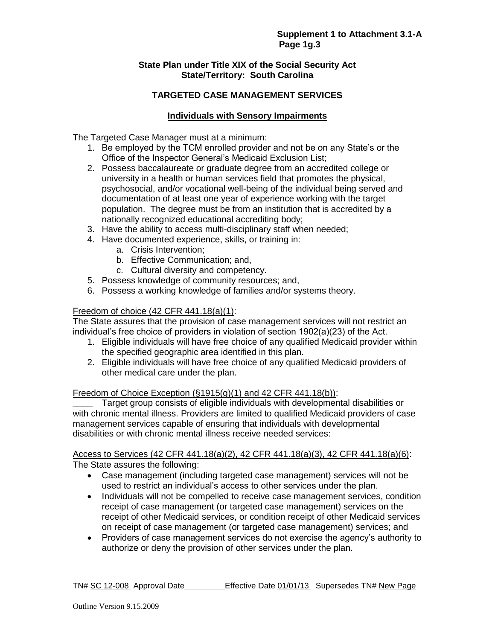## **State Plan under Title XIX of the Social Security Act State/Territory: South Carolina**

# **TARGETED CASE MANAGEMENT SERVICES**

# **Individuals with Sensory Impairments**

The Targeted Case Manager must at a minimum:

- 1. Be employed by the TCM enrolled provider and not be on any State's or the Office of the Inspector General's Medicaid Exclusion List;
- 2. Possess baccalaureate or graduate degree from an accredited college or university in a health or human services field that promotes the physical, psychosocial, and/or vocational well-being of the individual being served and documentation of at least one year of experience working with the target population. The degree must be from an institution that is accredited by a nationally recognized educational accrediting body;
- 3. Have the ability to access multi-disciplinary staff when needed;
- 4. Have documented experience, skills, or training in:
	- a. Crisis Intervention;
		- b. Effective Communication; and,
		- c. Cultural diversity and competency.
- 5. Possess knowledge of community resources; and,
- 6. Possess a working knowledge of families and/or systems theory.

# Freedom of choice (42 CFR 441.18(a)(1):

The State assures that the provision of case management services will not restrict an individual's free choice of providers in violation of section 1902(a)(23) of the Act.

- 1. Eligible individuals will have free choice of any qualified Medicaid provider within the specified geographic area identified in this plan.
- 2. Eligible individuals will have free choice of any qualified Medicaid providers of other medical care under the plan.

#### Freedom of Choice Exception  $(\S1915(g)(1)$  and 42 CFR 441.18(b)):

**\_\_\_\_** Target group consists of eligible individuals with developmental disabilities or with chronic mental illness. Providers are limited to qualified Medicaid providers of case management services capable of ensuring that individuals with developmental disabilities or with chronic mental illness receive needed services:

Access to Services (42 CFR 441.18(a)(2), 42 CFR 441.18(a)(3), 42 CFR 441.18(a)(6): The State assures the following:

- Case management (including targeted case management) services will not be used to restrict an individual's access to other services under the plan.
- Individuals will not be compelled to receive case management services, condition receipt of case management (or targeted case management) services on the receipt of other Medicaid services, or condition receipt of other Medicaid services on receipt of case management (or targeted case management) services; and
- Providers of case management services do not exercise the agency's authority to authorize or deny the provision of other services under the plan.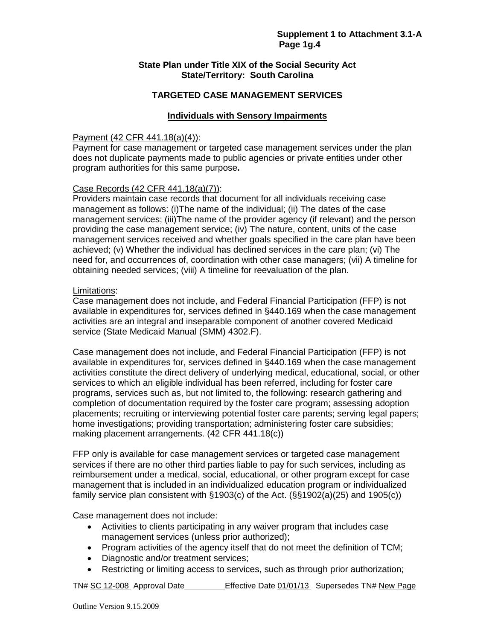#### **State Plan under Title XIX of the Social Security Act State/Territory: South Carolina**

### **TARGETED CASE MANAGEMENT SERVICES**

### **Individuals with Sensory Impairments**

#### Payment (42 CFR 441.18(a)(4)):

Payment for case management or targeted case management services under the plan does not duplicate payments made to public agencies or private entities under other program authorities for this same purpose**.** 

#### Case Records (42 CFR 441.18(a)(7)):

Providers maintain case records that document for all individuals receiving case management as follows: (i)The name of the individual; (ii) The dates of the case management services; (iii)The name of the provider agency (if relevant) and the person providing the case management service; (iv) The nature, content, units of the case management services received and whether goals specified in the care plan have been achieved; (v) Whether the individual has declined services in the care plan; (vi) The need for, and occurrences of, coordination with other case managers; (vii) A timeline for obtaining needed services; (viii) A timeline for reevaluation of the plan.

#### Limitations:

Case management does not include, and Federal Financial Participation (FFP) is not available in expenditures for, services defined in §440.169 when the case management activities are an integral and inseparable component of another covered Medicaid service (State Medicaid Manual (SMM) 4302.F).

Case management does not include, and Federal Financial Participation (FFP) is not available in expenditures for, services defined in §440.169 when the case management activities constitute the direct delivery of underlying medical, educational, social, or other services to which an eligible individual has been referred, including for foster care programs, services such as, but not limited to, the following: research gathering and completion of documentation required by the foster care program; assessing adoption placements; recruiting or interviewing potential foster care parents; serving legal papers; home investigations; providing transportation; administering foster care subsidies; making placement arrangements. (42 CFR 441.18(c))

FFP only is available for case management services or targeted case management services if there are no other third parties liable to pay for such services, including as reimbursement under a medical, social, educational, or other program except for case management that is included in an individualized education program or individualized family service plan consistent with §1903(c) of the Act. (§§1902(a)(25) and 1905(c))

Case management does not include:

- Activities to clients participating in any waiver program that includes case management services (unless prior authorized);
- Program activities of the agency itself that do not meet the definition of TCM;
- Diagnostic and/or treatment services;
- Restricting or limiting access to services, such as through prior authorization;